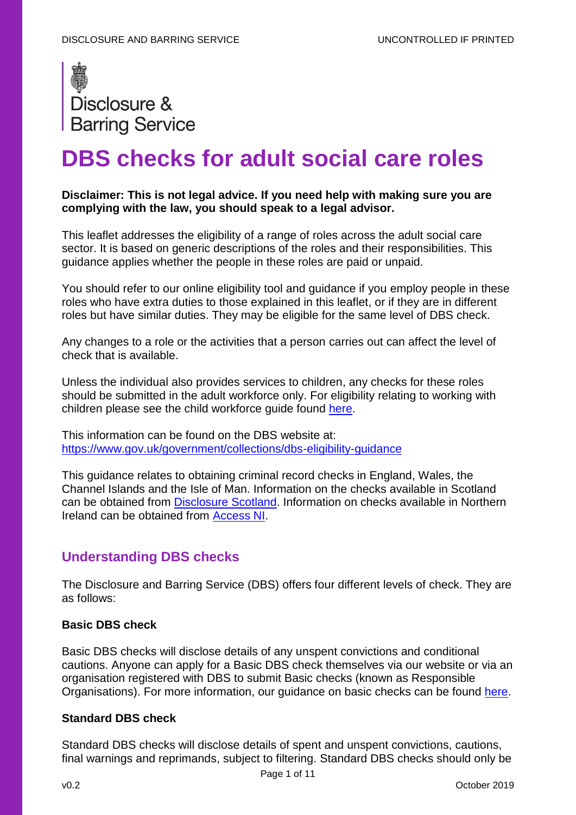

# **DBS checks for adult social care roles**

## **Disclaimer: This is not legal advice. If you need help with making sure you are complying with the law, you should speak to a legal advisor.**

This leaflet addresses the eligibility of a range of roles across the adult social care sector. It is based on generic descriptions of the roles and their responsibilities. This guidance applies whether the people in these roles are paid or unpaid.

You should refer to our online eligibility tool and guidance if you employ people in these roles who have extra duties to those explained in this leaflet, or if they are in different roles but have similar duties. They may be eligible for the same level of DBS check.

Any changes to a role or the activities that a person carries out can affect the level of check that is available.

Unless the individual also provides services to children, any checks for these roles should be submitted in the adult workforce only. For eligibility relating to working with children please see the child workforce guide found [here.](https://assets.publishing.service.gov.uk/government/uploads/system/uploads/attachment_data/file/804668/Child_workforce_guide_v10_0_28052019.pdf)

This information can be found on the DBS website at: <https://www.gov.uk/government/collections/dbs-eligibility-guidance>

This guidance relates to obtaining criminal record checks in England, Wales, the Channel Islands and the Isle of Man. Information on the checks available in Scotland can be obtained from [Disclosure Scotland.](https://www.mygov.scot/organisations/disclosure-scotland/) Information on checks available in Northern Ireland can be obtained from [Access NI.](https://www.nidirect.gov.uk/campaigns/accessni-criminal-record-checks)

# **Understanding DBS checks**

The Disclosure and Barring Service (DBS) offers four different levels of check. They are as follows:

## **Basic DBS check**

Basic DBS checks will disclose details of any unspent convictions and conditional cautions. Anyone can apply for a Basic DBS check themselves via our website or via an organisation registered with DBS to submit Basic checks (known as Responsible Organisations). For more information, our guidance on basic checks can be found [here.](https://www.gov.uk/guidance/basic-dbs-checks-guidance)

## **Standard DBS check**

Standard DBS checks will disclose details of spent and unspent convictions, cautions, final warnings and reprimands, subject to filtering. Standard DBS checks should only be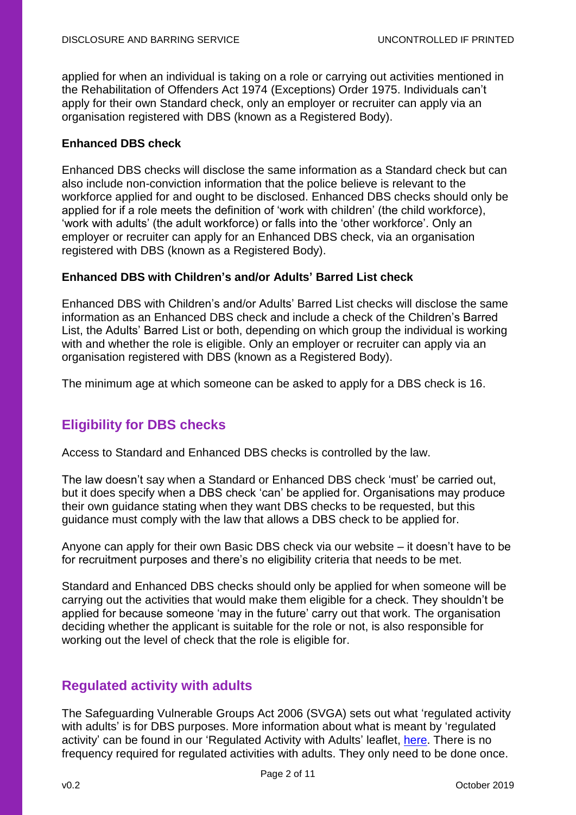applied for when an individual is taking on a role or carrying out activities mentioned in the Rehabilitation of Offenders Act 1974 (Exceptions) Order 1975. Individuals can't apply for their own Standard check, only an employer or recruiter can apply via an organisation registered with DBS (known as a Registered Body).

#### **Enhanced DBS check**

Enhanced DBS checks will disclose the same information as a Standard check but can also include non-conviction information that the police believe is relevant to the workforce applied for and ought to be disclosed. Enhanced DBS checks should only be applied for if a role meets the definition of 'work with children' (the child workforce), 'work with adults' (the adult workforce) or falls into the 'other workforce'. Only an employer or recruiter can apply for an Enhanced DBS check, via an organisation registered with DBS (known as a Registered Body).

#### **Enhanced DBS with Children's and/or Adults' Barred List check**

Enhanced DBS with Children's and/or Adults' Barred List checks will disclose the same information as an Enhanced DBS check and include a check of the Children's Barred List, the Adults' Barred List or both, depending on which group the individual is working with and whether the role is eligible. Only an employer or recruiter can apply via an organisation registered with DBS (known as a Registered Body).

The minimum age at which someone can be asked to apply for a DBS check is 16.

# **Eligibility for DBS checks**

Access to Standard and Enhanced DBS checks is controlled by the law.

The law doesn't say when a Standard or Enhanced DBS check 'must' be carried out, but it does specify when a DBS check 'can' be applied for. Organisations may produce their own guidance stating when they want DBS checks to be requested, but this guidance must comply with the law that allows a DBS check to be applied for.

Anyone can apply for their own Basic DBS check via our website – it doesn't have to be for recruitment purposes and there's no eligibility criteria that needs to be met.

Standard and Enhanced DBS checks should only be applied for when someone will be carrying out the activities that would make them eligible for a check. They shouldn't be applied for because someone 'may in the future' carry out that work. The organisation deciding whether the applicant is suitable for the role or not, is also responsible for working out the level of check that the role is eligible for.

# **Regulated activity with adults**

The Safeguarding Vulnerable Groups Act 2006 (SVGA) sets out what 'regulated activity with adults' is for DBS purposes. More information about what is meant by 'regulated activity' can be found in our 'Regulated Activity with Adults' leaflet, [here.](https://www.gov.uk/government/publications/dbs-guidance-leaflets) There is no frequency required for regulated activities with adults. They only need to be done once.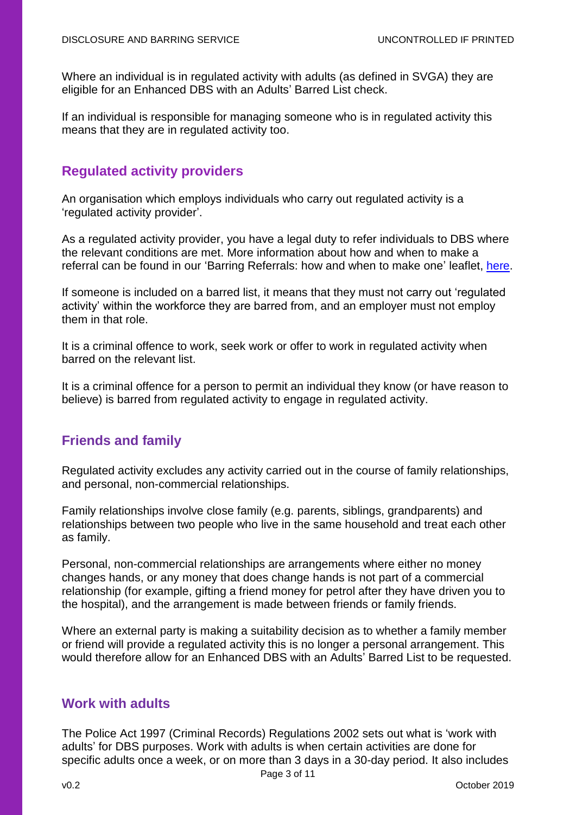Where an individual is in regulated activity with adults (as defined in SVGA) they are eligible for an Enhanced DBS with an Adults' Barred List check.

If an individual is responsible for managing someone who is in regulated activity this means that they are in regulated activity too.

# **Regulated activity providers**

An organisation which employs individuals who carry out regulated activity is a 'regulated activity provider'.

As a regulated activity provider, you have a legal duty to refer individuals to DBS where the relevant conditions are met. More information about how and when to make a referral can be found in our 'Barring Referrals: how and when to make one' leaflet. [here.](https://www.gov.uk/government/publications/dbs-guidance-leaflets)

If someone is included on a barred list, it means that they must not carry out 'regulated activity' within the workforce they are barred from, and an employer must not employ them in that role.

It is a criminal offence to work, seek work or offer to work in regulated activity when barred on the relevant list.

It is a criminal offence for a person to permit an individual they know (or have reason to believe) is barred from regulated activity to engage in regulated activity.

# **Friends and family**

Regulated activity excludes any activity carried out in the course of family relationships, and personal, non-commercial relationships.

Family relationships involve close family (e.g. parents, siblings, grandparents) and relationships between two people who live in the same household and treat each other as family.

Personal, non-commercial relationships are arrangements where either no money changes hands, or any money that does change hands is not part of a commercial relationship (for example, gifting a friend money for petrol after they have driven you to the hospital), and the arrangement is made between friends or family friends.

Where an external party is making a suitability decision as to whether a family member or friend will provide a regulated activity this is no longer a personal arrangement. This would therefore allow for an Enhanced DBS with an Adults' Barred List to be requested.

# **Work with adults**

The Police Act 1997 (Criminal Records) Regulations 2002 sets out what is 'work with adults' for DBS purposes. Work with adults is when certain activities are done for specific adults once a week, or on more than 3 days in a 30-day period. It also includes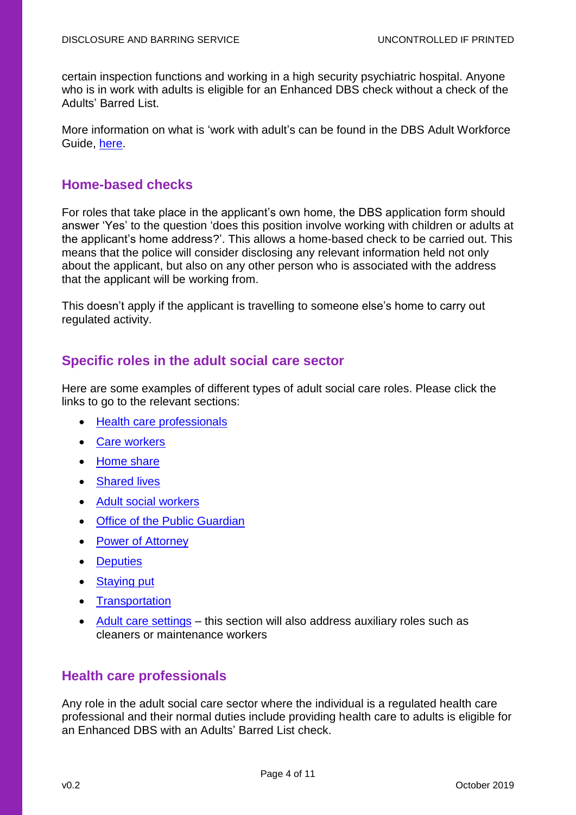certain inspection functions and working in a high security psychiatric hospital. Anyone who is in work with adults is eligible for an Enhanced DBS check without a check of the Adults' Barred List.

More information on what is 'work with adult's can be found in the DBS Adult Workforce Guide, [here.](https://www.gov.uk/government/publications/dbs-workforce-guidance)

# **Home-based checks**

For roles that take place in the applicant's own home, the DBS application form should answer 'Yes' to the question 'does this position involve working with children or adults at the applicant's home address?'. This allows a home-based check to be carried out. This means that the police will consider disclosing any relevant information held not only about the applicant, but also on any other person who is associated with the address that the applicant will be working from.

This doesn't apply if the applicant is travelling to someone else's home to carry out regulated activity.

# **Specific roles in the adult social care sector**

Here are some examples of different types of adult social care roles. Please click the links to go to the relevant sections:

- Health [care professionals](#page-3-0)
- [Care workers](#page-4-0)
- [Home share](#page-5-0)
- [Shared](#page-6-0) lives
- **[Adult social workers](#page-4-1)**
- [Office of the Public](#page-6-1) Guardian
- [Power of Attorney](#page-6-2)
- [Deputies](#page-7-0)
- [Staying put](#page-7-1)
- [Transportation](#page-4-2)
- [Adult care settings](#page-7-2) this section will also address auxiliary roles such as cleaners or maintenance workers

# <span id="page-3-0"></span>**Health care professionals**

Any role in the adult social care sector where the individual is a regulated health care professional and their normal duties include providing health care to adults is eligible for an Enhanced DBS with an Adults' Barred List check.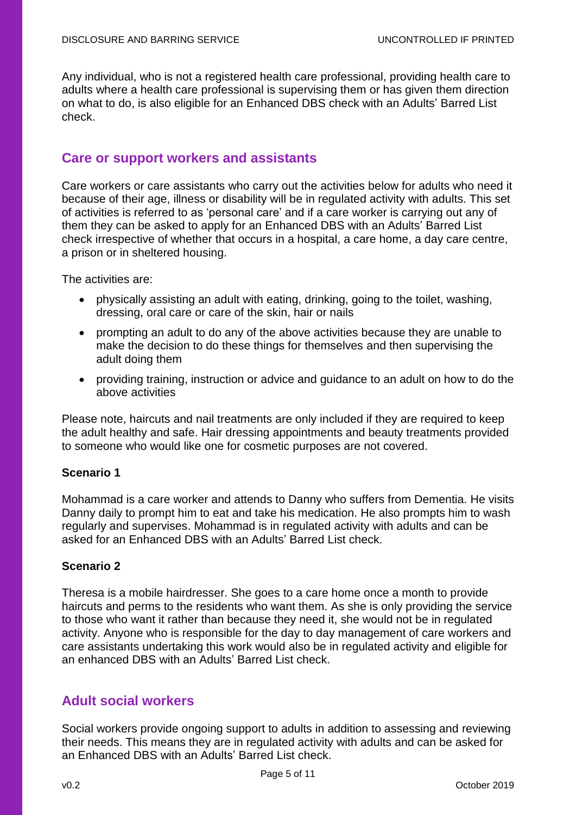<span id="page-4-2"></span>Any individual, who is not a registered health care professional, providing health care to adults where a health care professional is supervising them or has given them direction on what to do, is also eligible for an Enhanced DBS check with an Adults' Barred List check.

## <span id="page-4-0"></span>**Care or support workers and assistants**

Care workers or care assistants who carry out the activities below for adults who need it because of their age, illness or disability will be in regulated activity with adults. This set of activities is referred to as 'personal care' and if a care worker is carrying out any of them they can be asked to apply for an Enhanced DBS with an Adults' Barred List check irrespective of whether that occurs in a hospital, a care home, a day care centre, a prison or in sheltered housing.

The activities are:

- physically assisting an adult with eating, drinking, going to the toilet, washing, dressing, oral care or care of the skin, hair or nails
- prompting an adult to do any of the above activities because they are unable to make the decision to do these things for themselves and then supervising the adult doing them
- providing training, instruction or advice and guidance to an adult on how to do the above activities

Please note, haircuts and nail treatments are only included if they are required to keep the adult healthy and safe. Hair dressing appointments and beauty treatments provided to someone who would like one for cosmetic purposes are not covered.

## **Scenario 1**

Mohammad is a care worker and attends to Danny who suffers from Dementia. He visits Danny daily to prompt him to eat and take his medication. He also prompts him to wash regularly and supervises. Mohammad is in regulated activity with adults and can be asked for an Enhanced DBS with an Adults' Barred List check.

## **Scenario 2**

Theresa is a mobile hairdresser. She goes to a care home once a month to provide haircuts and perms to the residents who want them. As she is only providing the service to those who want it rather than because they need it, she would not be in regulated activity. Anyone who is responsible for the day to day management of care workers and care assistants undertaking this work would also be in regulated activity and eligible for an enhanced DBS with an Adults' Barred List check.

# <span id="page-4-1"></span>**Adult social workers**

Social workers provide ongoing support to adults in addition to assessing and reviewing their needs. This means they are in regulated activity with adults and can be asked for an Enhanced DBS with an Adults' Barred List check.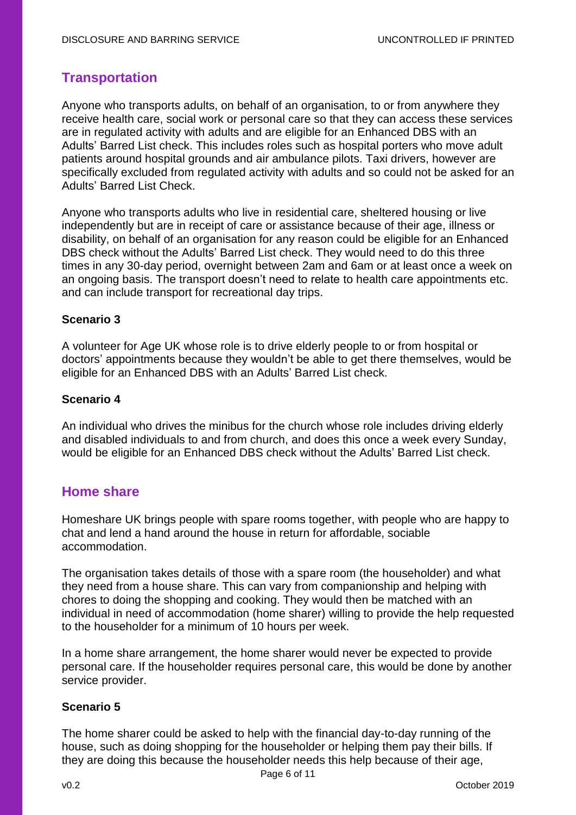# **Transportation**

Anyone who transports adults, on behalf of an organisation, to or from anywhere they receive health care, social work or personal care so that they can access these services are in regulated activity with adults and are eligible for an Enhanced DBS with an Adults' Barred List check. This includes roles such as hospital porters who move adult patients around hospital grounds and air ambulance pilots. Taxi drivers, however are specifically excluded from regulated activity with adults and so could not be asked for an Adults' Barred List Check.

Anyone who transports adults who live in residential care, sheltered housing or live independently but are in receipt of care or assistance because of their age, illness or disability, on behalf of an organisation for any reason could be eligible for an Enhanced DBS check without the Adults' Barred List check. They would need to do this three times in any 30-day period, overnight between 2am and 6am or at least once a week on an ongoing basis. The transport doesn't need to relate to health care appointments etc. and can include transport for recreational day trips.

## **Scenario 3**

A volunteer for Age UK whose role is to drive elderly people to or from hospital or doctors' appointments because they wouldn't be able to get there themselves, would be eligible for an Enhanced DBS with an Adults' Barred List check.

## **Scenario 4**

An individual who drives the minibus for the church whose role includes driving elderly and disabled individuals to and from church, and does this once a week every Sunday, would be eligible for an Enhanced DBS check without the Adults' Barred List check.

# <span id="page-5-0"></span>**Home share**

Homeshare UK brings people with spare rooms together, with people who are happy to chat and lend a hand around the house in return for affordable, sociable accommodation.

The organisation takes details of those with a spare room (the householder) and what they need from a house share. This can vary from companionship and helping with chores to doing the shopping and cooking. They would then be matched with an individual in need of accommodation (home sharer) willing to provide the help requested to the householder for a minimum of 10 hours per week.

In a home share arrangement, the home sharer would never be expected to provide personal care. If the householder requires personal care, this would be done by another service provider.

# **Scenario 5**

The home sharer could be asked to help with the financial day-to-day running of the house, such as doing shopping for the householder or helping them pay their bills. If they are doing this because the householder needs this help because of their age,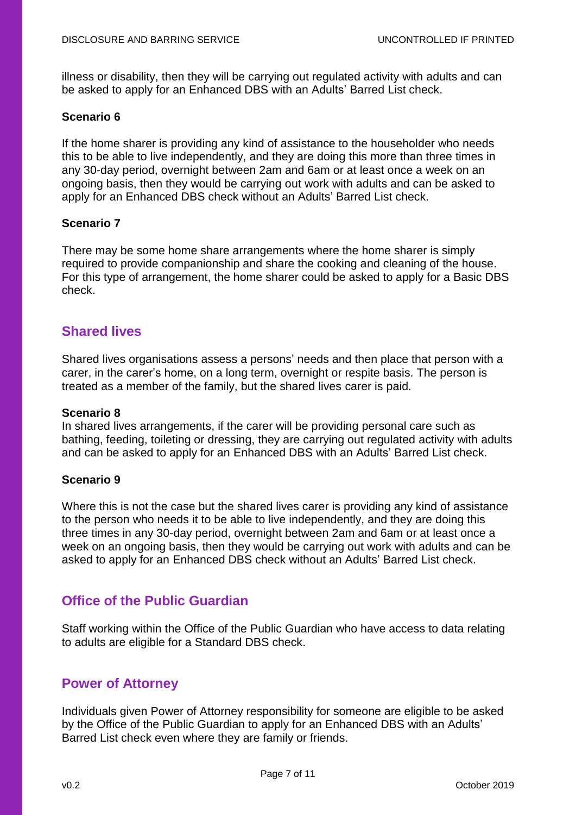illness or disability, then they will be carrying out regulated activity with adults and can be asked to apply for an Enhanced DBS with an Adults' Barred List check.

## **Scenario 6**

If the home sharer is providing any kind of assistance to the householder who needs this to be able to live independently, and they are doing this more than three times in any 30-day period, overnight between 2am and 6am or at least once a week on an ongoing basis, then they would be carrying out work with adults and can be asked to apply for an Enhanced DBS check without an Adults' Barred List check.

## **Scenario 7**

There may be some home share arrangements where the home sharer is simply required to provide companionship and share the cooking and cleaning of the house. For this type of arrangement, the home sharer could be asked to apply for a Basic DBS check.

# <span id="page-6-0"></span>**Shared lives**

Shared lives organisations assess a persons' needs and then place that person with a carer, in the carer's home, on a long term, overnight or respite basis. The person is treated as a member of the family, but the shared lives carer is paid.

#### **Scenario 8**

In shared lives arrangements, if the carer will be providing personal care such as bathing, feeding, toileting or dressing, they are carrying out regulated activity with adults and can be asked to apply for an Enhanced DBS with an Adults' Barred List check.

#### **Scenario 9**

Where this is not the case but the shared lives carer is providing any kind of assistance to the person who needs it to be able to live independently, and they are doing this three times in any 30-day period, overnight between 2am and 6am or at least once a week on an ongoing basis, then they would be carrying out work with adults and can be asked to apply for an Enhanced DBS check without an Adults' Barred List check.

# <span id="page-6-1"></span>**Office of the Public Guardian**

Staff working within the Office of the Public Guardian who have access to data relating to adults are eligible for a Standard DBS check.

# <span id="page-6-2"></span>**Power of Attorney**

Individuals given Power of Attorney responsibility for someone are eligible to be asked by the Office of the Public Guardian to apply for an Enhanced DBS with an Adults' Barred List check even where they are family or friends.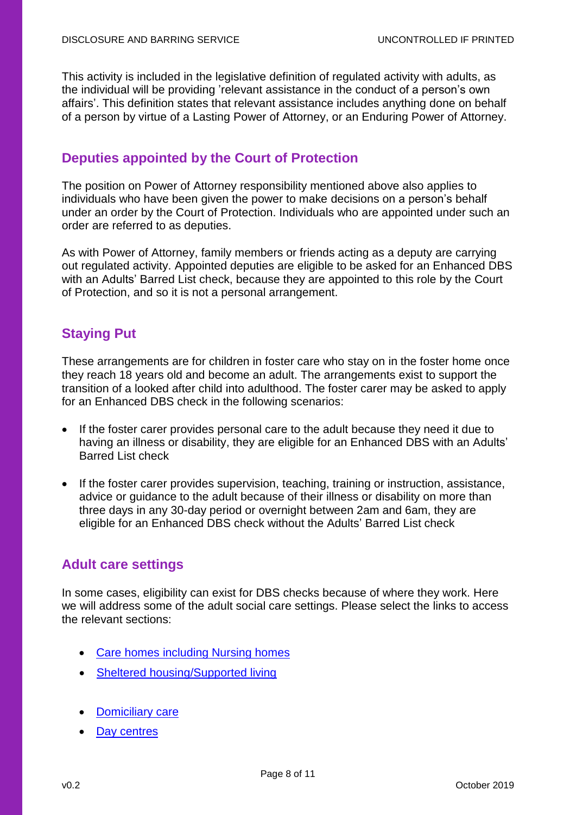This activity is included in the legislative definition of regulated activity with adults, as the individual will be providing 'relevant assistance in the conduct of a person's own affairs'. This definition states that relevant assistance includes anything done on behalf of a person by virtue of a Lasting Power of Attorney, or an Enduring Power of Attorney.

# <span id="page-7-0"></span>**Deputies appointed by the Court of Protection**

The position on Power of Attorney responsibility mentioned above also applies to individuals who have been given the power to make decisions on a person's behalf under an order by the Court of Protection. Individuals who are appointed under such an order are referred to as deputies.

As with Power of Attorney, family members or friends acting as a deputy are carrying out regulated activity. Appointed deputies are eligible to be asked for an Enhanced DBS with an Adults' Barred List check, because they are appointed to this role by the Court of Protection, and so it is not a personal arrangement.

# <span id="page-7-1"></span>**Staying Put**

These arrangements are for children in foster care who stay on in the foster home once they reach 18 years old and become an adult. The arrangements exist to support the transition of a looked after child into adulthood. The foster carer may be asked to apply for an Enhanced DBS check in the following scenarios:

- If the foster carer provides personal care to the adult because they need it due to having an illness or disability, they are eligible for an Enhanced DBS with an Adults' Barred List check
- If the foster carer provides supervision, teaching, training or instruction, assistance, advice or guidance to the adult because of their illness or disability on more than three days in any 30-day period or overnight between 2am and 6am, they are eligible for an Enhanced DBS check without the Adults' Barred List check

# <span id="page-7-2"></span>**Adult care settings**

In some cases, eligibility can exist for DBS checks because of where they work. Here we will address some of the adult social care settings. Please select the links to access the relevant sections:

- Care homes [including Nursing homes](#page-8-0)
- [Sheltered housing/Supported living](#page-8-1)
- **[Domiciliary](#page-9-0) care**
- [Day centres](#page-9-1)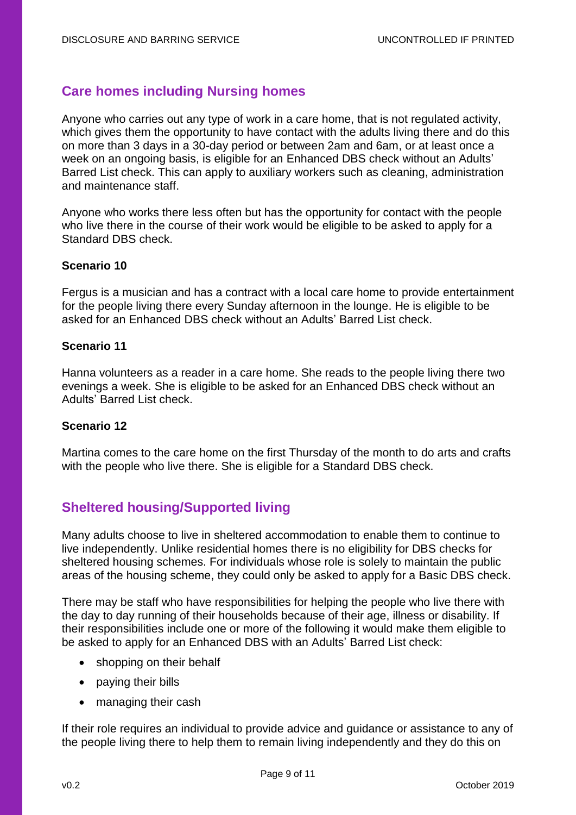# <span id="page-8-0"></span>**Care homes including Nursing homes**

Anyone who carries out any type of work in a care home, that is not regulated activity, which gives them the opportunity to have contact with the adults living there and do this on more than 3 days in a 30-day period or between 2am and 6am, or at least once a week on an ongoing basis, is eligible for an Enhanced DBS check without an Adults' Barred List check. This can apply to auxiliary workers such as cleaning, administration and maintenance staff.

Anyone who works there less often but has the opportunity for contact with the people who live there in the course of their work would be eligible to be asked to apply for a Standard DBS check.

#### **Scenario 10**

Fergus is a musician and has a contract with a local care home to provide entertainment for the people living there every Sunday afternoon in the lounge. He is eligible to be asked for an Enhanced DBS check without an Adults' Barred List check.

#### **Scenario 11**

Hanna volunteers as a reader in a care home. She reads to the people living there two evenings a week. She is eligible to be asked for an Enhanced DBS check without an Adults' Barred List check.

#### **Scenario 12**

Martina comes to the care home on the first Thursday of the month to do arts and crafts with the people who live there. She is eligible for a Standard DBS check.

# <span id="page-8-1"></span>**Sheltered housing/Supported living**

Many adults choose to live in sheltered accommodation to enable them to continue to live independently. Unlike residential homes there is no eligibility for DBS checks for sheltered housing schemes. For individuals whose role is solely to maintain the public areas of the housing scheme, they could only be asked to apply for a Basic DBS check.

There may be staff who have responsibilities for helping the people who live there with the day to day running of their households because of their age, illness or disability. If their responsibilities include one or more of the following it would make them eligible to be asked to apply for an Enhanced DBS with an Adults' Barred List check:

- shopping on their behalf
- paying their bills
- managing their cash

If their role requires an individual to provide advice and guidance or assistance to any of the people living there to help them to remain living independently and they do this on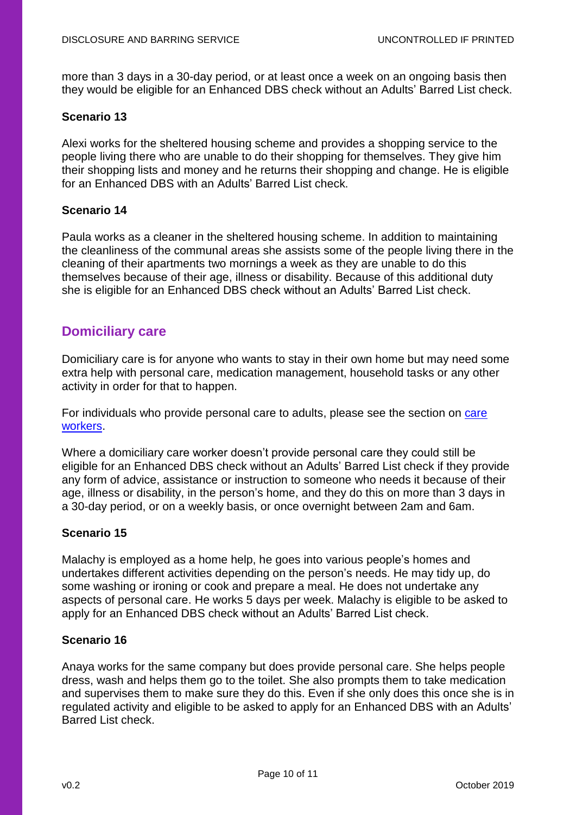<span id="page-9-1"></span>more than 3 days in a 30-day period, or at least once a week on an ongoing basis then they would be eligible for an Enhanced DBS check without an Adults' Barred List check.

#### **Scenario 13**

Alexi works for the sheltered housing scheme and provides a shopping service to the people living there who are unable to do their shopping for themselves. They give him their shopping lists and money and he returns their shopping and change. He is eligible for an Enhanced DBS with an Adults' Barred List check.

#### **Scenario 14**

Paula works as a cleaner in the sheltered housing scheme. In addition to maintaining the cleanliness of the communal areas she assists some of the people living there in the cleaning of their apartments two mornings a week as they are unable to do this themselves because of their age, illness or disability. Because of this additional duty she is eligible for an Enhanced DBS check without an Adults' Barred List check.

# <span id="page-9-0"></span>**Domiciliary care**

Domiciliary care is for anyone who wants to stay in their own home but may need some extra help with personal care, medication management, household tasks or any other activity in order for that to happen.

For individuals who provide personal care to adults, please see the section on [care](#page-4-0)  [workers.](#page-4-0)

Where a domiciliary care worker doesn't provide personal care they could still be eligible for an Enhanced DBS check without an Adults' Barred List check if they provide any form of advice, assistance or instruction to someone who needs it because of their age, illness or disability, in the person's home, and they do this on more than 3 days in a 30-day period, or on a weekly basis, or once overnight between 2am and 6am.

## **Scenario 15**

Malachy is employed as a home help, he goes into various people's homes and undertakes different activities depending on the person's needs. He may tidy up, do some washing or ironing or cook and prepare a meal. He does not undertake any aspects of personal care. He works 5 days per week. Malachy is eligible to be asked to apply for an Enhanced DBS check without an Adults' Barred List check.

## **Scenario 16**

Anaya works for the same company but does provide personal care. She helps people dress, wash and helps them go to the toilet. She also prompts them to take medication and supervises them to make sure they do this. Even if she only does this once she is in regulated activity and eligible to be asked to apply for an Enhanced DBS with an Adults' Barred List check.